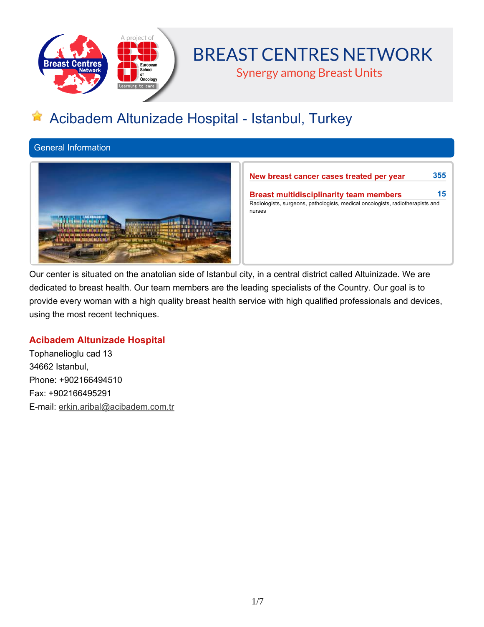

# **BREAST CENTRES NETWORK**

**Synergy among Breast Units** 

# **Acibadem Altunizade Hospital - Istanbul, Turkey**

**General Information**



**New breast cancer cases treated per year 355**

**Breast multidisciplinarity team members 15 Radiologists, surgeons, pathologists, medical oncologists, radiotherapists and nurses**

Our center is situated on the anatolian side of Istanbul city, in a central district called Altuinizade. We are dedicated to breast health. Our team members are the leading specialists of the Country. Our goal is to **provide every woman with a high quality breast health service with high qualified professionals and devices, using the most recent techniques.**

## **Acibadem Altunizade Hospital**

**Tophanelioglu cad 13 34662 Istanbul, Phone: +902166494510 Fax: +902166495291 E-mail: erkin.aribal@acibadem.com.tr**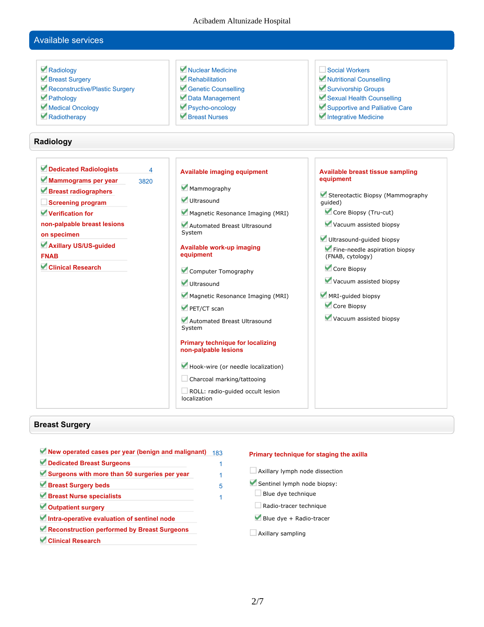#### Acibadem Altunizade Hospital

## **Available services**

| Radiology<br>Breast Surgery<br>Reconstructive/Plastic Surgery<br>Pathology<br>Medical Oncology<br>Radiotherapy                                                                                                                   |                                 | Nuclear Medicine<br>Rehabilitation<br>Genetic Counselling<br>Data Management<br>Psycho-oncology<br>Breast Nurses                                                                                                                                                                                                                                                                                                                                                                                                          | Social Workers<br>Nutritional Counselling<br>Survivorship Groups<br>Sexual Health Counselling<br>Supportive and Palliative Care<br>Integrative Medicine                                                                                                                                                                                        |
|----------------------------------------------------------------------------------------------------------------------------------------------------------------------------------------------------------------------------------|---------------------------------|---------------------------------------------------------------------------------------------------------------------------------------------------------------------------------------------------------------------------------------------------------------------------------------------------------------------------------------------------------------------------------------------------------------------------------------------------------------------------------------------------------------------------|------------------------------------------------------------------------------------------------------------------------------------------------------------------------------------------------------------------------------------------------------------------------------------------------------------------------------------------------|
| Radiology                                                                                                                                                                                                                        |                                 |                                                                                                                                                                                                                                                                                                                                                                                                                                                                                                                           |                                                                                                                                                                                                                                                                                                                                                |
| Dedicated Radiologists<br>Mammograms per year<br>Breast radiographers<br>Screening program<br>Verification for<br>non-palpable breast lesions<br>on specimen<br>Axillary US/US-guided<br><b>FNAB</b><br><b>Clinical Research</b> | $\overline{\mathbf{A}}$<br>3820 | <b>Available imaging equipment</b><br>Mammography<br>Ultrasound<br>Magnetic Resonance Imaging (MRI)<br>Automated Breast Ultrasound<br>System<br><b>Available work-up imaging</b><br>equipment<br>Computer Tomography<br>Ultrasound<br>Magnetic Resonance Imaging (MRI)<br>PET/CT scan<br>Automated Breast Ultrasound<br>System<br><b>Primary technique for localizing</b><br>non-palpable lesions<br>Hook-wire (or needle localization)<br>Charcoal marking/tattooing<br>ROLL: radio-guided occult lesion<br>localization | <b>Available breast tissue sampling</b><br>equipment<br>Stereotactic Biopsy (Mammography<br>quided)<br>Core Biopsy (Tru-cut)<br>Vacuum assisted biopsy<br>Ultrasound-guided biopsy<br>Fine-needle aspiration biopsy<br>(FNAB, cytology)<br>Core Biopsy<br>Vacuum assisted biopsy<br>MRI-guided biopsy<br>Core Biopsy<br>Vacuum assisted biopsy |

## **Breast Surgery**

| New operated cases per year (benign and malignant) | 183 |
|----------------------------------------------------|-----|
| Dedicated Breast Surgeons                          |     |
| Surgeons with more than 50 surgeries per year      |     |
| Breast Surgery beds                                | 5   |
| Breast Nurse specialists                           |     |
| Outpatient surgery                                 |     |
| Intra-operative evaluation of sentinel node        |     |
| Reconstruction performed by Breast Surgeons        |     |
| <b>Clinical Research</b>                           |     |

#### **Primary technique for staging the axilla**

**Axillary lymph node dissection**

**Sentinel lymph node biopsy:**

- **Blue dye technique**
- **Radio-tracer technique**
- **Blue dye + Radio-tracer**
- **Axillary sampling**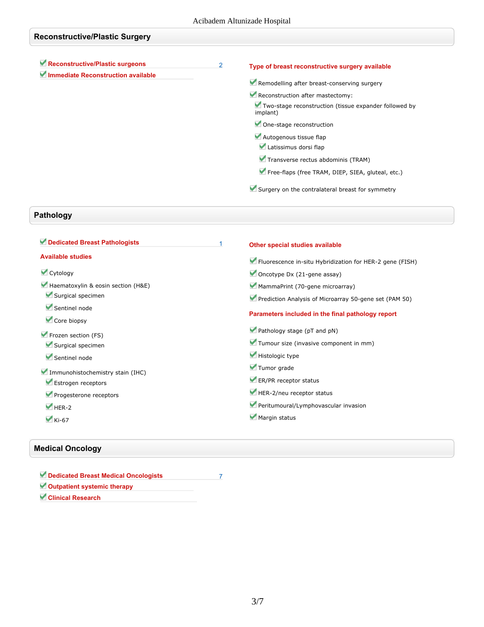| <b>Reconstructive/Plastic Surgery</b>                                 |                |                                                                                                       |  |  |
|-----------------------------------------------------------------------|----------------|-------------------------------------------------------------------------------------------------------|--|--|
| Reconstructive/Plastic surgeons<br>Immediate Reconstruction available | $\overline{2}$ | Type of breast reconstructive surgery available<br>Remodelling after breast-conserving surgery        |  |  |
|                                                                       |                |                                                                                                       |  |  |
|                                                                       |                | Reconstruction after mastectomy:<br>Two-stage reconstruction (tissue expander followed by<br>implant) |  |  |
|                                                                       |                | One-stage reconstruction                                                                              |  |  |
|                                                                       |                | Autogenous tissue flap<br>Latissimus dorsi flap                                                       |  |  |
|                                                                       |                | Transverse rectus abdominis (TRAM)                                                                    |  |  |
|                                                                       |                | Free-flaps (free TRAM, DIEP, SIEA, gluteal, etc.)                                                     |  |  |
|                                                                       |                | Surgery on the contralateral breast for symmetry                                                      |  |  |

# **Pathology**

| Dedicated Breast Pathologists      | Other special studies available                          |
|------------------------------------|----------------------------------------------------------|
| <b>Available studies</b>           | Fluorescence in-situ Hybridization for HER-2 gene (FISH) |
| Cytology                           | Oncotype Dx $(21$ -gene assay)                           |
| Haematoxylin & eosin section (H&E) | MammaPrint (70-gene microarray)                          |
| Surgical specimen                  | Prediction Analysis of Microarray 50-gene set (PAM 50)   |
| Sentinel node<br>Core biopsy       | Parameters included in the final pathology report        |
| Frozen section (FS)                | Pathology stage (pT and pN)                              |
| Surgical specimen                  | Tumour size (invasive component in mm)                   |
| Sentinel node                      | Histologic type                                          |
| Immunohistochemistry stain (IHC)   | Tumor grade                                              |
| Estrogen receptors                 | ER/PR receptor status                                    |
| Progesterone receptors             | HER-2/neu receptor status                                |
| $M$ HER-2                          | Peritumoural/Lymphovascular invasion                     |
| $\blacktriangleright$ Ki-67        | Margin status                                            |

## **Medical Oncology**

| Dedicated Breast Medical Oncologists |  |
|--------------------------------------|--|
| Outpatient systemic therapy          |  |
| <b>Clinical Research</b>             |  |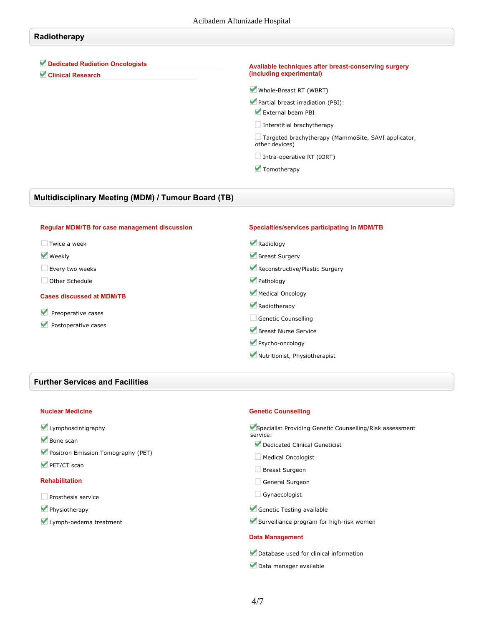#### **Radiotherapy**

## **Dedicated Radiation Oncologists**

**Clinical Research**

#### **Available techniques after breast-conserving surgery (including experimental)**

**Whole-Breast RT (WBRT)**

**Partial breast irradiation (PBI):**

**External beam PBI**

**Interstitial brachytherapy**

**Targeted brachytherapy (MammoSite, SAVI applicator, other devices)**

**Intra-operative RT (IORT)**

 **Tomotherapy**

#### **Multidisciplinary Meeting (MDM) / Tumour Board (TB)**

#### **Regular MDM/TB for case management discussion Twice a week Weekly Every two weeks Other Schedule Cases discussed at MDM/TB Preoperative cases Postoperative cases Specialties/services participating in MDM/TB Radiology Breast Surgery Reconstructive/Plastic Surgery Pathology Medical Oncology Radiotherapy Genetic Counselling Breast Nurse Service Psycho-oncology Nutritionist, Physiotherapist**

### **Further Services and Facilities**

#### **Nuclear Medicine**

- **Lymphoscintigraphy**
- **Bone scan**
- **Positron Emission Tomography (PET)**
- **PET/CT scan**

#### **Rehabilitation**

- **Prosthesis service**
- **Physiotherapy**
- **Lymph-oedema treatment**

#### **Genetic Counselling**

**Specialist Providing Genetic Counselling/Risk assessment service: Dedicated Clinical Geneticist Medical Oncologist Breast Surgeon General Surgeon**

**Gynaecologist**

**Genetic Testing available**

**Surveillance program for high-risk women**

#### **Data Management**

**Database used for clinical information**

**Data manager available**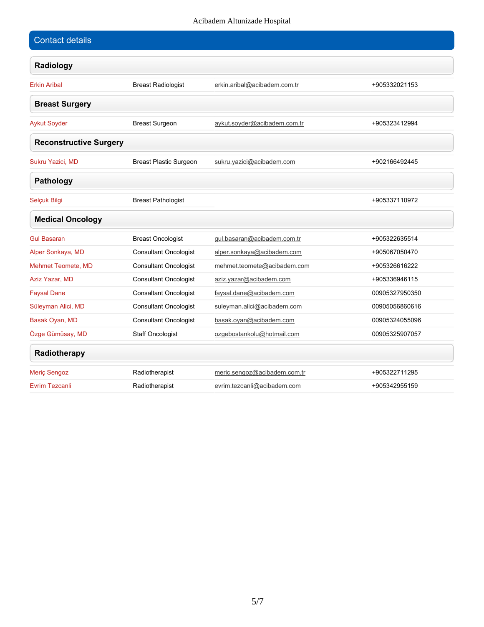#### Acibadem Altunizade Hospital

| <b>Contact details</b>        |                               |                              |                |
|-------------------------------|-------------------------------|------------------------------|----------------|
| Radiology                     |                               |                              |                |
| <b>Erkin Aribal</b>           | <b>Breast Radiologist</b>     | erkin.aribal@acibadem.com.tr | +905332021153  |
| <b>Breast Surgery</b>         |                               |                              |                |
| <b>Aykut Soyder</b>           | <b>Breast Surgeon</b>         | aykut.soyder@acibadem.com.tr | +905323412994  |
| <b>Reconstructive Surgery</b> |                               |                              |                |
| Sukru Yazici, MD              | <b>Breast Plastic Surgeon</b> | sukru.yazici@acibadem.com    | +902166492445  |
| Pathology                     |                               |                              |                |
| Selçuk Bilgi                  | <b>Breast Pathologist</b>     |                              | +905337110972  |
| <b>Medical Oncology</b>       |                               |                              |                |
| <b>Gul Basaran</b>            | <b>Breast Oncologist</b>      | gul.basaran@acibadem.com.tr  | +905322635514  |
| Alper Sonkaya, MD             | <b>Consultant Oncologist</b>  | alper.sonkaya@acibadem.com   | +905067050470  |
| Mehmet Teomete, MD            | <b>Consultant Oncologist</b>  | mehmet.teomete@acibadem.com  | +905326616222  |
| Aziz Yazar, MD                | <b>Consultant Oncologist</b>  | aziz.yazar@acibadem.com      | +905336946115  |
| <b>Faysal Dane</b>            | <b>Consaltant Oncologist</b>  | faysal.dane@acibadem.com     | 00905327950350 |
| Süleyman Alici, MD            | <b>Consultant Oncologist</b>  | suleyman.alici@acibadem.com  | 00905056860616 |
| Basak Oyan, MD                | <b>Consultant Oncologist</b>  | basak.oyan@acibadem.com      | 00905324055096 |
| Özge Gümüsay, MD              | <b>Staff Oncologist</b>       | ozgebostankolu@hotmail.com   | 00905325907057 |
| Radiotherapy                  |                               |                              |                |
| <b>Meric Sengoz</b>           | Radiotherapist                | meric.sengoz@acibadem.com.tr | +905322711295  |
| Evrim Tezcanli                | Radiotherapist                | evrim.tezcanli@acibadem.com  | +905342955159  |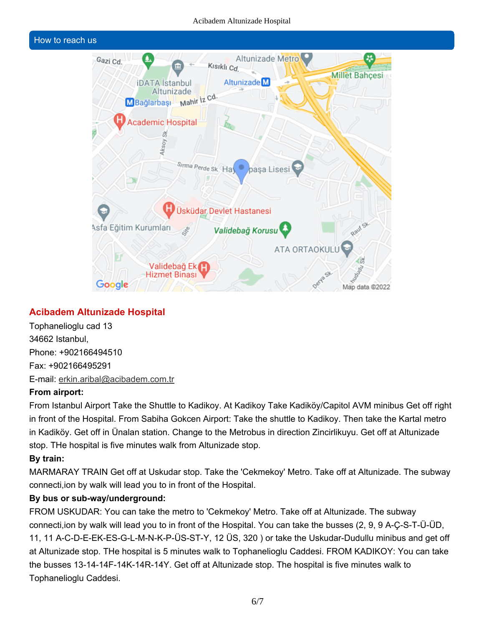#### Acibadem Altunizade Hospital

#### **How to reach us**



## **Acibadem Altunizade Hospital**

**Tophanelioglu cad 13 34662 Istanbul, Phone: +902166494510 Fax: +902166495291 E-mail: erkin.aribal@acibadem.com.tr**

### **From airport:**

From Istanbul Airport Take the Shuttle to Kadikoy. At Kadikoy Take Kadiköy/Capitol AVM minibus Get off right in front of the Hospital. From Sabiha Gokcen Airport: Take the shuttle to Kadikoy. Then take the Kartal metro in Kadiköy. Get off in Ünalan station. Change to the Metrobus in direction Zincirlikuyu. Get off at Altunizade **stop. THe hospital is five minutes walk from Altunizade stop.**

## **By train:**

**MARMARAY TRAIN Get off at Uskudar stop. Take the 'Cekmekoy' Metro. Take off at Altunizade. The subway connecti,ion by walk will lead you to in front of the Hospital.**

## **By bus or sub-way/underground:**

**FROM USKUDAR: You can take the metro to 'Cekmekoy' Metro. Take off at Altunizade. The subway** connecti, ion by walk will lead you to in front of the Hospital. You can take the busses (2, 9, 9 A-C-S-T-Ü-ÜD, **11, 11 A-C-D-E-EK-ES-G-L-M-N-K-P-ÜS-ST-Y, 12 ÜS, 320 ) or take the Uskudar-Dudullu minibus and get off at Altunizade stop. THe hospital is 5 minutes walk to Tophanelioglu Caddesi. FROM KADIKOY: You can take the busses 13-14-14F-14K-14R-14Y. Get off at Altunizade stop. The hospital is five minutes walk to Tophanelioglu Caddesi.**